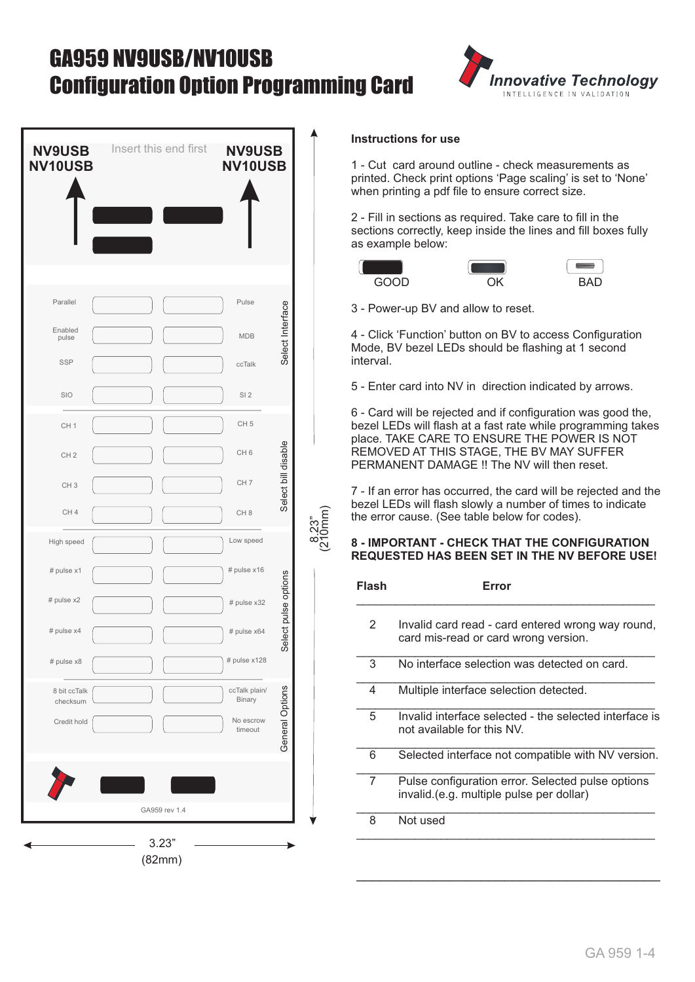# GA959 NV9USB/NV10USB Configuration Option Programming Card



| <b>NV9USB</b><br><b>NV10USB</b>                                          | Insert this end first | <b>NV9USB</b><br><b>NV10USB</b>                                                                 |
|--------------------------------------------------------------------------|-----------------------|-------------------------------------------------------------------------------------------------|
| Parallel<br>Enabled<br>pulse<br><b>SSP</b><br>SIO                        |                       | Pulse<br>Select Interface<br><b>MDB</b><br>ccTalk<br>SI <sub>2</sub>                            |
| CH <sub>1</sub><br>CH <sub>2</sub><br>CH <sub>3</sub><br>CH <sub>4</sub> |                       | CH <sub>5</sub><br>Select bill disable<br>CH <sub>6</sub><br>CH <sub>7</sub><br>CH <sub>8</sub> |
| High speed<br># pulse x1<br># pulse x2<br># pulse x4<br># pulse x8       |                       | Low speed<br># pulse x16<br>Select pulse options<br># pulse x32<br># pulse x64<br># pulse x128  |
| 8 bit ccTalk<br>checksum<br>Credit hold                                  | GA959 rev 1.4         | General Options<br>ccTalk plain/<br>Binary<br>No escrow<br>timeout                              |

#### **Instructions for use**

1 - Cut card around outline - check measurements as printed. Check print options 'Page scaling' is set to 'None' when printing a pdf file to ensure correct size.

2 - Fill in sections as required. Take care to fill in the sections correctly, keep inside the lines and fill boxes fully as example below:



 $\circ$ Ξ Ξ (210mm)





3 - Power-up BV and allow to reset.

4 - Click 'Function' button on BV to access Configuration Mode, BV bezel LEDs should be flashing at 1 second interval.

5 - Enter card into NV in direction indicated by arrows.

6 - Card will be rejected and if configuration was good the, bezel LEDs will flash at a fast rate while programming takes place. TAKE CARE TO ENSURE THE POWER IS NOT REMOVED AT THIS STAGE, THE BV MAY SUFFER PERMANENT DAMAGE !! The NV will then reset.

7 - If an error has occurred, the card will be rejected and the bezel LEDs will flash slowly a number of times to indicate the error cause. (See table below for codes).

#### **8 - IMPORTANT - CHECK THAT THE CONFIGURATION REQUESTED HAS BEEN SET IN THE NV BEFORE USE!**

| Flash | Frror                                                                                         |  |  |  |  |  |  |
|-------|-----------------------------------------------------------------------------------------------|--|--|--|--|--|--|
| 2     | Invalid card read - card entered wrong way round,<br>card mis-read or card wrong version.     |  |  |  |  |  |  |
| 3     | No interface selection was detected on card.                                                  |  |  |  |  |  |  |
| 4     | Multiple interface selection detected.                                                        |  |  |  |  |  |  |
| 5     | Invalid interface selected - the selected interface is<br>not available for this NV.          |  |  |  |  |  |  |
| 6     | Selected interface not compatible with NV version.                                            |  |  |  |  |  |  |
| 7     | Pulse configuration error. Selected pulse options<br>invalid.(e.g. multiple pulse per dollar) |  |  |  |  |  |  |
| 8     | Not used                                                                                      |  |  |  |  |  |  |
|       |                                                                                               |  |  |  |  |  |  |

\_\_\_\_\_\_\_\_\_\_\_\_\_\_\_\_\_\_\_\_\_\_\_\_\_\_\_\_\_\_\_\_\_\_\_\_\_\_\_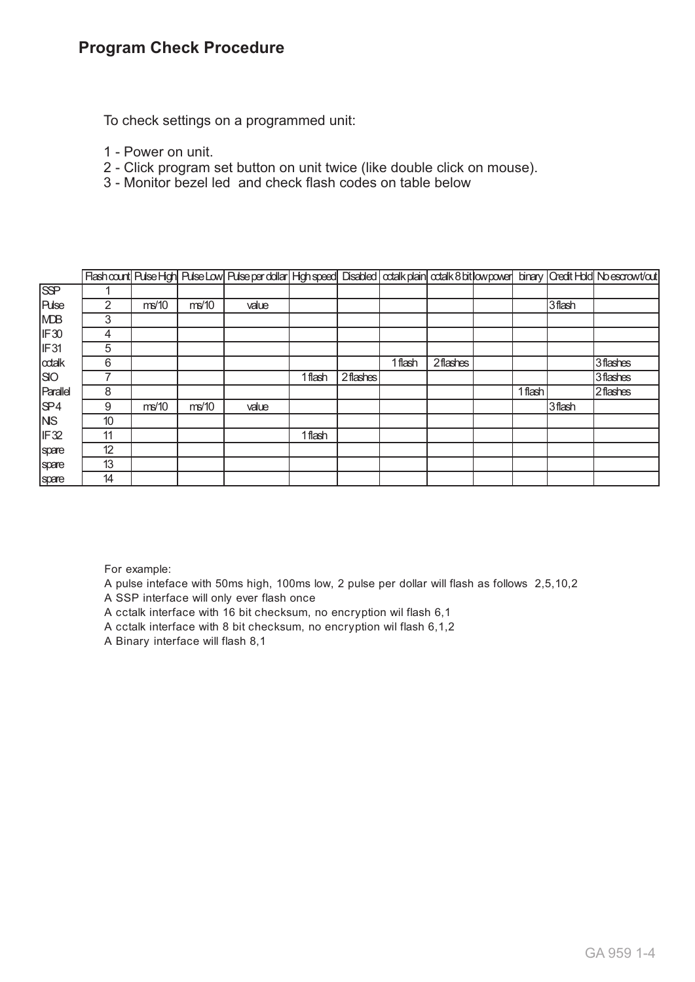## **Program Check Procedure**

To check settings on a programmed unit:

- 1 Power on unit.
- 2 Click program set button on unit twice (like double click on mouse).
- 3 Monitor bezel led and check flash codes on table below

|                  |    |       |       | Flash count   Pulse High   Pulse Low   Pulse per dollar   High speed   Disabled   odalk plain   odalk 8 bit   ow power   binary   Oredit Hold   No escrowt/cut |         |          |         |          |         |        |          |
|------------------|----|-------|-------|----------------------------------------------------------------------------------------------------------------------------------------------------------------|---------|----------|---------|----------|---------|--------|----------|
| $\overline{SP}$  |    |       |       |                                                                                                                                                                |         |          |         |          |         |        |          |
| <b>Pulse</b>     | 2  | ms/10 | ms/10 | value                                                                                                                                                          |         |          |         |          |         | 3flash |          |
| <b>MDB</b>       | 3  |       |       |                                                                                                                                                                |         |          |         |          |         |        |          |
| IF30             | 4  |       |       |                                                                                                                                                                |         |          |         |          |         |        |          |
| IF <sub>31</sub> | 5  |       |       |                                                                                                                                                                |         |          |         |          |         |        |          |
| odalk            | 6  |       |       |                                                                                                                                                                |         |          | 1 flash | 2flashes |         |        | 3flashes |
| <b>SIO</b>       | 7  |       |       |                                                                                                                                                                | 1 flash | 2flashes |         |          |         |        | 3flashes |
| Parallel         | 8  |       |       |                                                                                                                                                                |         |          |         |          | 1 flash |        | 2flashes |
| SP4              | 9  | ms/10 | ms/10 | value                                                                                                                                                          |         |          |         |          |         | 3flash |          |
| <b>NS</b>        | 10 |       |       |                                                                                                                                                                |         |          |         |          |         |        |          |
| IF <sub>32</sub> | 11 |       |       |                                                                                                                                                                | 1 flash |          |         |          |         |        |          |
| spare            | 12 |       |       |                                                                                                                                                                |         |          |         |          |         |        |          |
| spare            | 13 |       |       |                                                                                                                                                                |         |          |         |          |         |        |          |
| spare            | 14 |       |       |                                                                                                                                                                |         |          |         |          |         |        |          |

For example:

- A pulse inteface with 50ms high, 100ms low, 2 pulse per dollar will flash as follows 2,5,10,2
- A SSP interface will only ever flash once
- A cctalk interface with 16 bit checksum, no encryption wil flash 6,1
- A cctalk interface with 8 bit checksum, no encryption wil flash 6,1,2
- A Binary interface will flash 8,1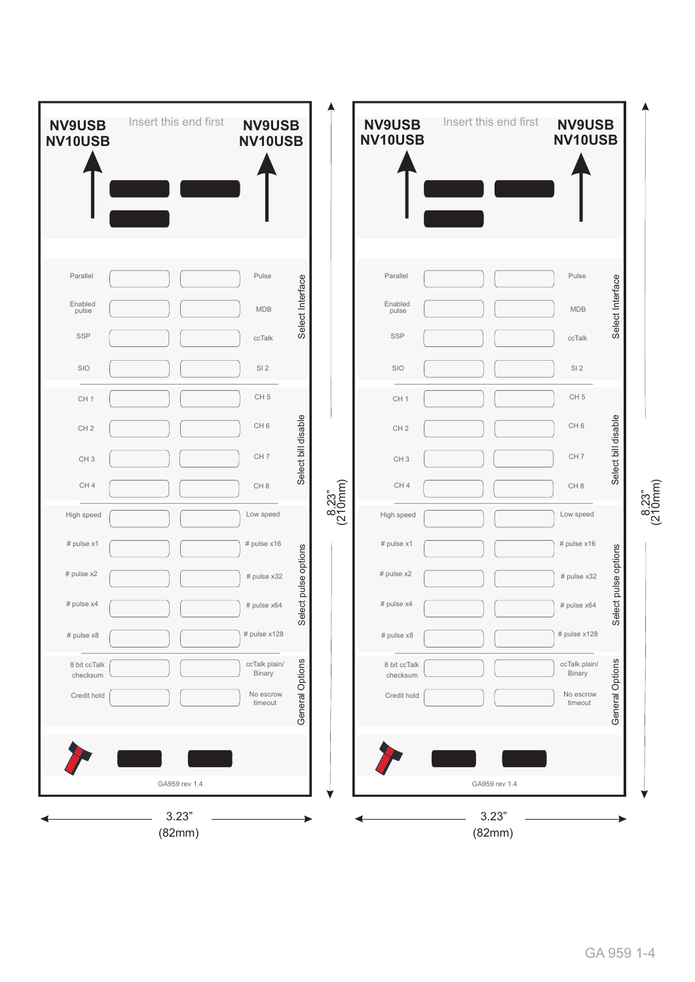| <b>NV9USB</b><br><b>NV10USB</b> | Insert this end first | <b>NV9USB</b><br>NV10USB |                     |                                | <b>NV9USB</b><br><b>NV10USB</b> | Insert this end first | <b>NV9USB</b><br>NV10USB |                     |
|---------------------------------|-----------------------|--------------------------|---------------------|--------------------------------|---------------------------------|-----------------------|--------------------------|---------------------|
|                                 |                       |                          |                     |                                |                                 |                       |                          |                     |
| Parallel                        |                       | Pulse                    |                     |                                | Parallel                        |                       | Pulse                    |                     |
| Enabled<br>pulse                |                       | MDB                      | Select Interface    |                                | Enabled<br>pulse                |                       | <b>MDB</b>               | Select Interface    |
| <b>SSP</b>                      |                       | ccTalk                   |                     |                                | <b>SSP</b>                      |                       | ccTalk                   |                     |
| SIO                             |                       | SI <sub>2</sub>          |                     |                                | SIO                             |                       | SI <sub>2</sub>          |                     |
| CH <sub>1</sub>                 |                       | CH <sub>5</sub>          |                     |                                | CH <sub>1</sub>                 |                       | CH <sub>5</sub>          |                     |
| CH <sub>2</sub>                 |                       | CH <sub>6</sub>          |                     |                                | CH <sub>2</sub>                 |                       | CH <sub>6</sub>          |                     |
| CH <sub>3</sub>                 |                       | CH <sub>7</sub>          | Select bill disable |                                | CH <sub>3</sub>                 |                       | CH <sub>7</sub>          | Select bill disable |
| CH4                             |                       | CH <sub>8</sub>          |                     |                                | CH <sub>4</sub>                 |                       | CH <sub>8</sub>          |                     |
| High speed                      |                       | Low speed                |                     | $\frac{8.23^{\circ}}{(210mm)}$ | High speed                      |                       | Low speed                |                     |
| # pulse x1                      |                       | # pulse x16              |                     |                                | # pulse x1                      |                       | # pulse x16              |                     |
| # pulse $x2$                    |                       | # pulse x32              | ect pulse options   |                                | # pulse x2                      |                       | # pulse x32              | ect pulse options   |
| # pulse x4                      |                       | # pulse x64              |                     |                                | # pulse x4                      |                       | # pulse x64              |                     |
| # pulse x8                      |                       | # pulse x128             | ିତ<br>ତ             |                                | # pulse x8                      |                       | # pulse x128             | <b>Sei</b>          |
| 8 bit ccTalk<br>checksum        |                       | ccTalk plain/<br>Binary  |                     |                                | 8 bit ccTalk<br>checksum        |                       | ccTalk plain/<br>Binary  |                     |
| Credit hold                     |                       | No escrow<br>timeout     | General Options     |                                | Credit hold                     |                       | No escrow<br>timeout     | General Options     |
|                                 |                       |                          |                     |                                |                                 |                       |                          |                     |
|                                 | GA959 rev 1.4         |                          |                     |                                |                                 | GA959 rev 1.4         |                          |                     |